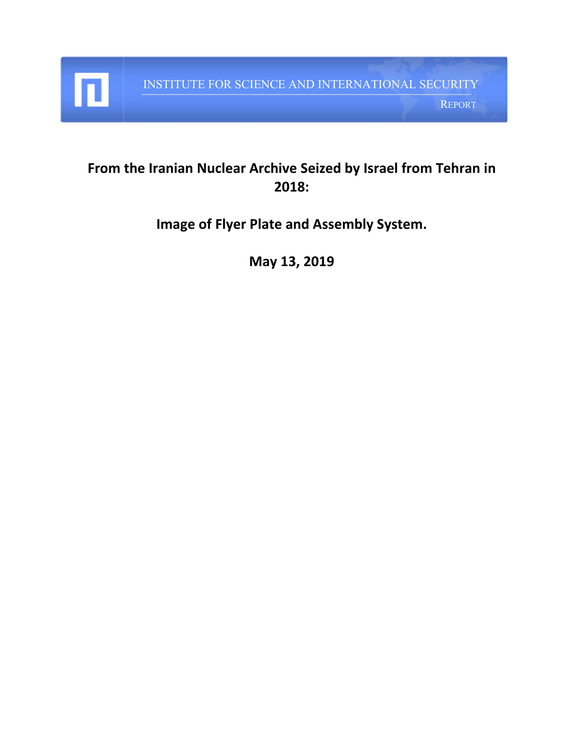

п

REPORT

## **From the Iranian Nuclear Archive Seized by Israel from Tehran in 2018:**

**Image of Flyer Plate and Assembly System.**

**May 13, 2019**